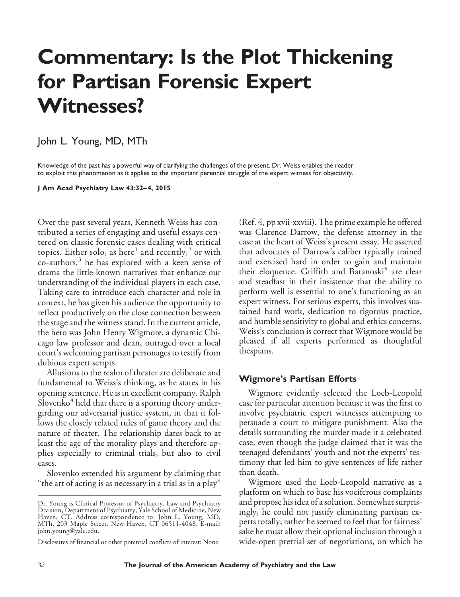# **Commentary: Is the Plot Thickening for Partisan Forensic Expert Witnesses?**

# John L. Young, MD, MTh

Knowledge of the past has a powerful way of clarifying the challenges of the present. Dr. Weiss enables the reader to exploit this phenomenon as it applies to the important perennial struggle of the expert witness for objectivity.

**J Am Acad Psychiatry Law 43:32– 4, 2015**

Over the past several years, Kenneth Weiss has contributed a series of engaging and useful essays centered on classic forensic cases dealing with critical topics. Either solo, as here<sup>1</sup> and recently,<sup>2</sup> or with co-authors,<sup>3</sup> he has explored with a keen sense of drama the little-known narratives that enhance our understanding of the individual players in each case. Taking care to introduce each character and role in context, he has given his audience the opportunity to reflect productively on the close connection between the stage and the witness stand. In the current article, the hero was John Henry Wigmore, a dynamic Chicago law professor and dean, outraged over a local court's welcoming partisan personages to testify from dubious expert scripts.

Allusions to the realm of theater are deliberate and fundamental to Weiss's thinking, as he states in his opening sentence. He is in excellent company. Ralph  $S$ lovenko<sup>4</sup> held that there is a sporting theory undergirding our adversarial justice system, in that it follows the closely related rules of game theory and the nature of theater. The relationship dates back to at least the age of the morality plays and therefore applies especially to criminal trials, but also to civil cases.

Slovenko extended his argument by claiming that "the art of acting is as necessary in a trial as in a play"

(Ref. 4, pp xvii-xxviii). The prime example he offered was Clarence Darrow, the defense attorney in the case at the heart of Weiss's present essay. He asserted that advocates of Darrow's caliber typically trained and exercised hard in order to gain and maintain their eloquence. Griffith and Baranoski<sup>5</sup> are clear and steadfast in their insistence that the ability to perform well is essential to one's functioning as an expert witness. For serious experts, this involves sustained hard work, dedication to rigorous practice, and humble sensitivity to global and ethics concerns. Weiss's conclusion is correct that Wigmore would be pleased if all experts performed as thoughtful thespians.

#### **Wigmore's Partisan Efforts**

Wigmore evidently selected the Loeb-Leopold case for particular attention because it was the first to involve psychiatric expert witnesses attempting to persuade a court to mitigate punishment. Also the details surrounding the murder made it a celebrated case, even though the judge claimed that it was the teenaged defendants' youth and not the experts' testimony that led him to give sentences of life rather than death.

Wigmore used the Loeb-Leopold narrative as a platform on which to base his vociferous complaints and propose his idea of a solution. Somewhat surprisingly, he could not justify eliminating partisan experts totally; rather he seemed to feel that for fairness' sake he must allow their optional inclusion through a wide-open pretrial set of negotiations, on which he

Dr. Young is Clinical Professor of Psychiatry, Law and Psychiatry Division, Department of Psychiatry, Yale School of Medicine, New Haven, CT. Address correspondence to: John L. Young, MD, MTh, 203 Maple Street, New Haven, CT 06511-4048. E-mail: john.young@yale.edu.

Disclosures of financial or other potential conflicts of interest: None.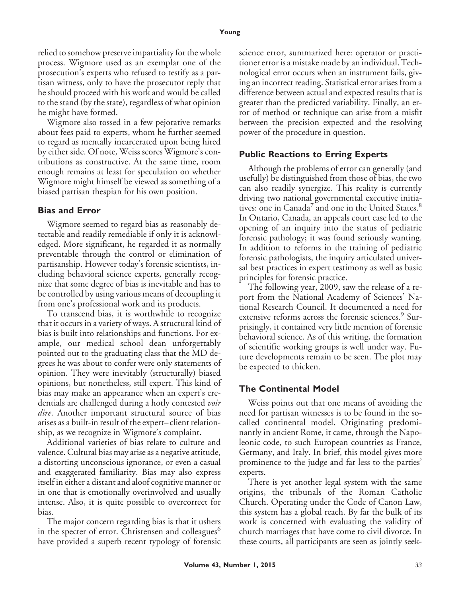relied to somehow preserve impartiality for the whole process. Wigmore used as an exemplar one of the prosecution's experts who refused to testify as a partisan witness, only to have the prosecutor reply that he should proceed with his work and would be called to the stand (by the state), regardless of what opinion he might have formed.

Wigmore also tossed in a few pejorative remarks about fees paid to experts, whom he further seemed to regard as mentally incarcerated upon being hired by either side. Of note, Weiss scores Wigmore's contributions as constructive. At the same time, room enough remains at least for speculation on whether Wigmore might himself be viewed as something of a biased partisan thespian for his own position.

### **Bias and Error**

Wigmore seemed to regard bias as reasonably detectable and readily remediable if only it is acknowledged. More significant, he regarded it as normally preventable through the control or elimination of partisanship. However today's forensic scientists, including behavioral science experts, generally recognize that some degree of bias is inevitable and has to be controlled by using various means of decoupling it from one's professional work and its products.

To transcend bias, it is worthwhile to recognize that it occurs in a variety of ways. A structural kind of bias is built into relationships and functions. For example, our medical school dean unforgettably pointed out to the graduating class that the MD degrees he was about to confer were only statements of opinion. They were inevitably (structurally) biased opinions, but nonetheless, still expert. This kind of bias may make an appearance when an expert's credentials are challenged during a hotly contested *voir dire*. Another important structural source of bias arises as a built-in result of the expert– client relationship, as we recognize in Wigmore's complaint.

Additional varieties of bias relate to culture and valence. Cultural bias may arise as a negative attitude, a distorting unconscious ignorance, or even a casual and exaggerated familiarity. Bias may also express itself in either a distant and aloof cognitive manner or in one that is emotionally overinvolved and usually intense. Also, it is quite possible to overcorrect for bias.

The major concern regarding bias is that it ushers in the specter of error. Christensen and colleagues<sup>6</sup> have provided a superb recent typology of forensic science error, summarized here: operator or practitioner error is a mistake made by an individual. Technological error occurs when an instrument fails, giving an incorrect reading. Statistical error arises from a difference between actual and expected results that is greater than the predicted variability. Finally, an error of method or technique can arise from a misfit between the precision expected and the resolving power of the procedure in question.

# **Public Reactions to Erring Experts**

Although the problems of error can generally (and usefully) be distinguished from those of bias, the two can also readily synergize. This reality is currently driving two national governmental executive initiatives: one in Canada<sup>7</sup> and one in the United States.<sup>8</sup> In Ontario, Canada, an appeals court case led to the opening of an inquiry into the status of pediatric forensic pathology; it was found seriously wanting. In addition to reforms in the training of pediatric forensic pathologists, the inquiry articulated universal best practices in expert testimony as well as basic principles for forensic practice.

The following year, 2009, saw the release of a report from the National Academy of Sciences' National Research Council. It documented a need for extensive reforms across the forensic sciences.<sup>9</sup> Surprisingly, it contained very little mention of forensic behavioral science. As of this writing, the formation of scientific working groups is well under way. Future developments remain to be seen. The plot may be expected to thicken.

# **The Continental Model**

Weiss points out that one means of avoiding the need for partisan witnesses is to be found in the socalled continental model. Originating predominantly in ancient Rome, it came, through the Napoleonic code, to such European countries as France, Germany, and Italy. In brief, this model gives more prominence to the judge and far less to the parties' experts.

There is yet another legal system with the same origins, the tribunals of the Roman Catholic Church. Operating under the Code of Canon Law, this system has a global reach. By far the bulk of its work is concerned with evaluating the validity of church marriages that have come to civil divorce. In these courts, all participants are seen as jointly seek